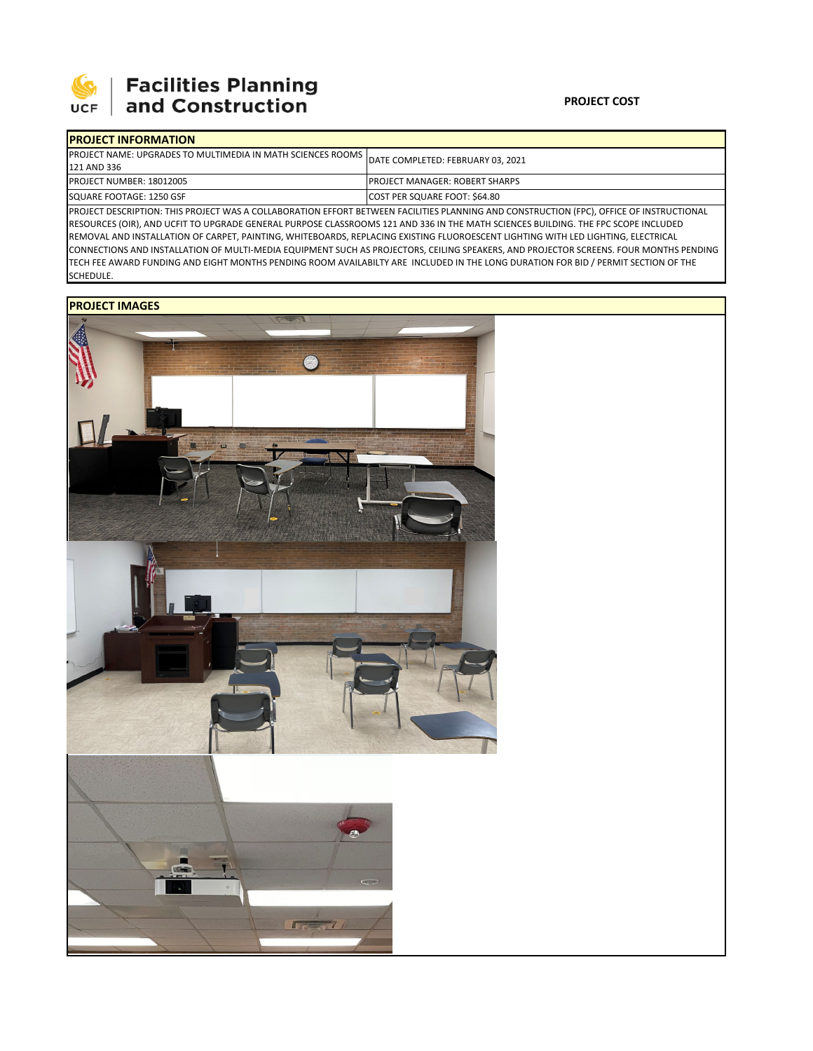

# **Facilities Planning**<br>and Construction

### **PROJECT COST**

| <b>IPROJECT INFORMATION</b>                                            |                                                                                                                                           |  |  |  |
|------------------------------------------------------------------------|-------------------------------------------------------------------------------------------------------------------------------------------|--|--|--|
| <b>IPROJECT NAME: UPGRADES TO MULTIMEDIA IN MATH SCIENCES ROOMS I.</b> | DATE COMPLETED: FEBRUARY 03, 2021                                                                                                         |  |  |  |
| 121 AND 336                                                            |                                                                                                                                           |  |  |  |
| <b>PROJECT NUMBER: 18012005</b>                                        | <b>IPROJECT MANAGER: ROBERT SHARPS</b>                                                                                                    |  |  |  |
| SQUARE FOOTAGE: 1250 GSF                                               | COST PER SQUARE FOOT: \$64.80                                                                                                             |  |  |  |
|                                                                        | IPROJECT DESCRIPTION: THIS PROJECT WAS A COLLABORATION EFFORT BETWEEN FACILITIES PLANNING AND CONSTRUCTION (FPC). OFFICE OF INSTRUCTIONAL |  |  |  |

PROJECT DESCRIPTION: THIS PROJECT WAS A COLLABORATION EFFORT BETWEEN FACILITIES PLANNING AND CONSTRUCTION (FPC), OFFICE OF INSTRUCTIONAL RESOURCES (OIR), AND UCFIT TO UPGRADE GENERAL PURPOSE CLASSROOMS 121 AND 336 IN THE MATH SCIENCES BUILDING. THE FPC SCOPE INCLUDED REMOVAL AND INSTALLATION OF CARPET, PAINTING, WHITEBOARDS, REPLACING EXISTING FLUOROESCENT LIGHTING WITH LED LIGHTING, ELECTRICAL CONNECTIONS AND INSTALLATION OF MULTI‐MEDIA EQUIPMENT SUCH AS PROJECTORS, CEILING SPEAKERS, AND PROJECTOR SCREENS. FOUR MONTHS PENDING TECH FEE AWARD FUNDING AND EIGHT MONTHS PENDING ROOM AVAILABILTY ARE INCLUDED IN THE LONG DURATION FOR BID / PERMIT SECTION OF THE SCHEDULE.

## **PROJECT IMAGES**